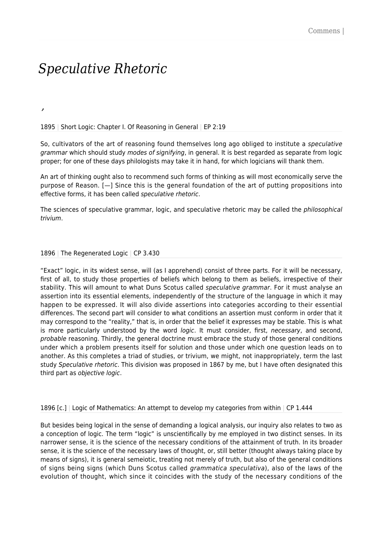# *Speculative Rhetoric*

*,*

1895 | Short Logic: Chapter I. Of Reasoning in General | EP 2:19

So, cultivators of the art of reasoning found themselves long ago obliged to institute a speculative grammar which should study modes of signifying, in general. It is best regarded as separate from logic proper; for one of these days philologists may take it in hand, for which logicians will thank them.

An art of thinking ought also to recommend such forms of thinking as will most economically serve the purpose of Reason. [—] Since this is the general foundation of the art of putting propositions into effective forms, it has been called speculative rhetoric.

The sciences of speculative grammar, logic, and speculative rhetoric may be called the philosophical trivium.

#### 1896 | The Regenerated Logic | CP 3.430

"Exact" logic, in its widest sense, will (as I apprehend) consist of three parts. For it will be necessary, first of all, to study those properties of beliefs which belong to them as beliefs, irrespective of their stability. This will amount to what Duns Scotus called speculative grammar. For it must analyse an assertion into its essential elements, independently of the structure of the language in which it may happen to be expressed. It will also divide assertions into categories according to their essential differences. The second part will consider to what conditions an assertion must conform in order that it may correspond to the "reality," that is, in order that the belief it expresses may be stable. This is what is more particularly understood by the word *logic*. It must consider, first, necessary, and second, probable reasoning. Thirdly, the general doctrine must embrace the study of those general conditions under which a problem presents itself for solution and those under which one question leads on to another. As this completes a triad of studies, or trivium, we might, not inappropriately, term the last study Speculative rhetoric. This division was proposed in 1867 by me, but I have often designated this third part as objective logic.

1896 [c.] | Logic of Mathematics: An attempt to develop my categories from within | CP 1.444

But besides being logical in the sense of demanding a logical analysis, our inquiry also relates to two as a conception of logic. The term "logic" is unscientifically by me employed in two distinct senses. In its narrower sense, it is the science of the necessary conditions of the attainment of truth. In its broader sense, it is the science of the necessary laws of thought, or, still better (thought always taking place by means of signs), it is general semeiotic, treating not merely of truth, but also of the general conditions of signs being signs (which Duns Scotus called grammatica speculativa), also of the laws of the evolution of thought, which since it coincides with the study of the necessary conditions of the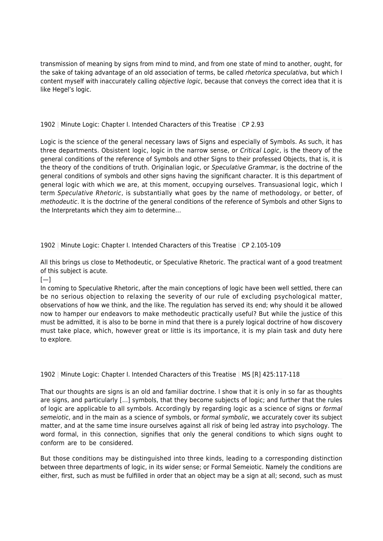transmission of meaning by signs from mind to mind, and from one state of mind to another, ought, for the sake of taking advantage of an old association of terms, be called rhetorica speculativa, but which I content myself with inaccurately calling objective logic, because that conveys the correct idea that it is like Hegel's logic.

## 1902 | Minute Logic: Chapter I. Intended Characters of this Treatise | CP 2.93

Logic is the science of the general necessary laws of Signs and especially of Symbols. As such, it has three departments. Obsistent logic, logic in the narrow sense, or Critical Logic, is the theory of the general conditions of the reference of Symbols and other Signs to their professed Objects, that is, it is the theory of the conditions of truth. Originalian logic, or Speculative Grammar, is the doctrine of the general conditions of symbols and other signs having the significant character. It is this department of general logic with which we are, at this moment, occupying ourselves. Transuasional logic, which I term Speculative Rhetoric, is substantially what goes by the name of methodology, or better, of methodeutic. It is the doctrine of the general conditions of the reference of Symbols and other Signs to the Interpretants which they aim to determine…

# 1902 | Minute Logic: Chapter I. Intended Characters of this Treatise | CP 2.105-109

All this brings us close to Methodeutic, or Speculative Rhetoric. The practical want of a good treatment of this subject is acute.

 $[-]$ 

In coming to Speculative Rhetoric, after the main conceptions of logic have been well settled, there can be no serious objection to relaxing the severity of our rule of excluding psychological matter, observations of how we think, and the like. The regulation has served its end; why should it be allowed now to hamper our endeavors to make methodeutic practically useful? But while the justice of this must be admitted, it is also to be borne in mind that there is a purely logical doctrine of how discovery must take place, which, however great or little is its importance, it is my plain task and duty here to explore.

## 1902 | Minute Logic: Chapter I. Intended Characters of this Treatise | MS [R] 425:117-118

That our thoughts are signs is an old and familiar doctrine. I show that it is only in so far as thoughts are signs, and particularly […] symbols, that they become subjects of logic; and further that the rules of logic are applicable to all symbols. Accordingly by regarding logic as a science of signs or formal semeiotic, and in the main as a science of symbols, or formal symbolic, we accurately cover its subject matter, and at the same time insure ourselves against all risk of being led astray into psychology. The word formal, in this connection, signifies that only the general conditions to which signs ought to conform are to be considered.

But those conditions may be distinguished into three kinds, leading to a corresponding distinction between three departments of logic, in its wider sense; or Formal Semeiotic. Namely the conditions are either, first, such as must be fulfilled in order that an object may be a sign at all; second, such as must